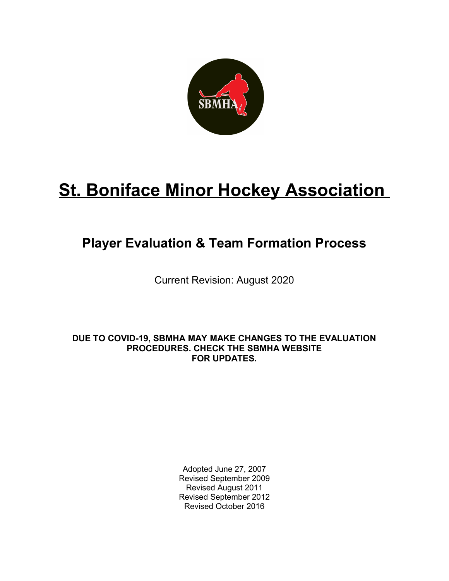

# **St. Boniface Minor Hockey Association**

## **Player Evaluation & Team Formation Process**

Current Revision: August 2020

**DUE TO COVID-19, SBMHA MAY MAKE CHANGES TO THE EVALUATION PROCEDURES. CHECK THE SBMHA WEBSITE FOR UPDATES.**

> Adopted June 27, 2007 Revised September 2009 Revised August 2011 Revised September 2012 Revised October 2016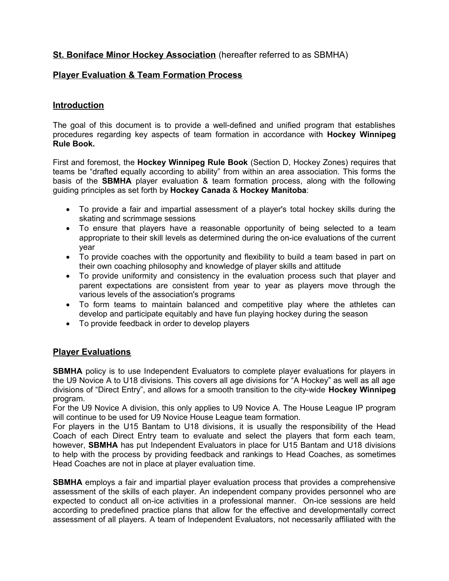#### **St. Boniface Minor Hockey Association** (hereafter referred to as SBMHA)

#### **Player Evaluation & Team Formation Process**

#### **Introduction**

The goal of this document is to provide a well-defined and unified program that establishes procedures regarding key aspects of team formation in accordance with **Hockey Winnipeg Rule Book.**

First and foremost, the **Hockey Winnipeg Rule Book** (Section D, Hockey Zones) requires that teams be "drafted equally according to ability" from within an area association. This forms the basis of the **SBMHA** player evaluation & team formation process, along with the following guiding principles as set forth by **Hockey Canada** & **Hockey Manitoba**:

- To provide a fair and impartial assessment of a player's total hockey skills during the skating and scrimmage sessions
- To ensure that players have a reasonable opportunity of being selected to a team appropriate to their skill levels as determined during the on-ice evaluations of the current year
- To provide coaches with the opportunity and flexibility to build a team based in part on their own coaching philosophy and knowledge of player skills and attitude
- To provide uniformity and consistency in the evaluation process such that player and parent expectations are consistent from year to year as players move through the various levels of the association's programs
- To form teams to maintain balanced and competitive play where the athletes can develop and participate equitably and have fun playing hockey during the season
- To provide feedback in order to develop players

#### **Player Evaluations**

**SBMHA** policy is to use Independent Evaluators to complete player evaluations for players in the U9 Novice A to U18 divisions. This covers all age divisions for "A Hockey" as well as all age divisions of "Direct Entry", and allows for a smooth transition to the city-wide **Hockey Winnipeg** program.

For the U9 Novice A division, this only applies to U9 Novice A. The House League IP program will continue to be used for U9 Novice House League team formation.

For players in the U15 Bantam to U18 divisions, it is usually the responsibility of the Head Coach of each Direct Entry team to evaluate and select the players that form each team, however, **SBMHA** has put Independent Evaluators in place for U15 Bantam and U18 divisions to help with the process by providing feedback and rankings to Head Coaches, as sometimes Head Coaches are not in place at player evaluation time.

**SBMHA** employs a fair and impartial player evaluation process that provides a comprehensive assessment of the skills of each player. An independent company provides personnel who are expected to conduct all on-ice activities in a professional manner. On-ice sessions are held according to predefined practice plans that allow for the effective and developmentally correct assessment of all players. A team of Independent Evaluators, not necessarily affiliated with the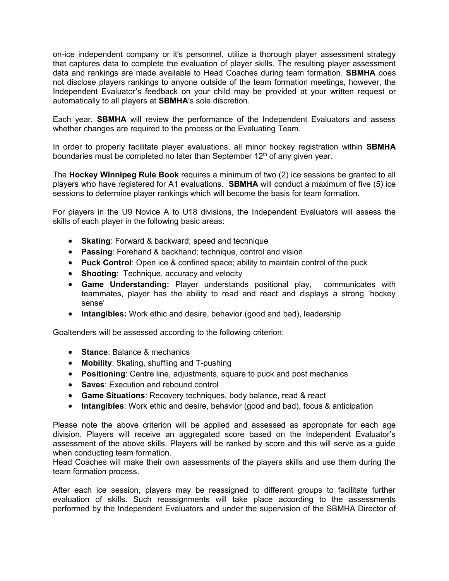on-ice independent company or it's personnel, utilize a thorough player assessment strategy that captures data to complete the evaluation of player skills. The resulting player assessment data and rankings are made available to Head Coaches during team formation. **SBMHA** does not disclose players rankings to anyone outside of the team formation meetings, however, the Independent Evaluator's feedback on your child may be provided at your written request or automatically to all players at **SBMHA**'s sole discretion.

Each year, **SBMHA** will review the performance of the Independent Evaluators and assess whether changes are required to the process or the Evaluating Team.

In order to properly facilitate player evaluations, all minor hockey registration within **SBMHA** boundaries must be completed no later than September  $12<sup>th</sup>$  of any given year.

The **Hockey Winnipeg Rule Book** requires a minimum of two (2) ice sessions be granted to all players who have registered for A1 evaluations. **SBMHA** will conduct a maximum of five (5) ice sessions to determine player rankings which will become the basis for team formation.

For players in the U9 Novice A to U18 divisions, the Independent Evaluators will assess the skills of each player in the following basic areas:

- **Skating: Forward & backward; speed and technique**
- **Passing**: Forehand & backhand; technique, control and vision
- **Puck Control**: Open ice & confined space; ability to maintain control of the puck
- **Shooting**: Technique, accuracy and velocity
- **Game Understanding:** Player understands positional play, communicates with teammates, player has the ability to read and react and displays a strong 'hockey sense'
- **Intangibles:** Work ethic and desire, behavior (good and bad), leadership

Goaltenders will be assessed according to the following criterion:

- **Stance: Balance & mechanics**
- **Mobility**: Skating, shuffling and T-pushing
- **Positioning**: Centre line, adjustments, square to puck and post mechanics
- **Saves**: Execution and rebound control
- **Game Situations**: Recovery techniques, body balance, read & react
- **Intangibles**: Work ethic and desire, behavior (good and bad), focus & anticipation

Please note the above criterion will be applied and assessed as appropriate for each age division. Players will receive an aggregated score based on the Independent Evaluator's assessment of the above skills. Players will be ranked by score and this will serve as a guide when conducting team formation.

Head Coaches will make their own assessments of the players skills and use them during the team formation process.

After each ice session, players may be reassigned to different groups to facilitate further evaluation of skills. Such reassignments will take place according to the assessments performed by the Independent Evaluators and under the supervision of the SBMHA Director of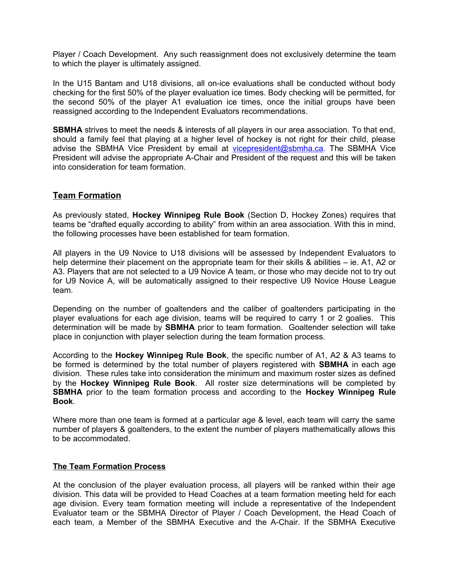Player / Coach Development. Any such reassignment does not exclusively determine the team to which the player is ultimately assigned.

In the U15 Bantam and U18 divisions, all on-ice evaluations shall be conducted without body checking for the first 50% of the player evaluation ice times. Body checking will be permitted, for the second 50% of the player A1 evaluation ice times, once the initial groups have been reassigned according to the Independent Evaluators recommendations.

**SBMHA** strives to meet the needs & interests of all players in our area association. To that end, should a family feel that playing at a higher level of hockey is not right for their child, please advise the SBMHA Vice President by email at [vicepresident@sbmha.ca.](mailto:vicepresident@sbmha.ca) The SBMHA Vice President will advise the appropriate A-Chair and President of the request and this will be taken into consideration for team formation.

#### **Team Formation**

As previously stated, **Hockey Winnipeg Rule Book** (Section D, Hockey Zones) requires that teams be "drafted equally according to ability" from within an area association. With this in mind, the following processes have been established for team formation.

All players in the U9 Novice to U18 divisions will be assessed by Independent Evaluators to help determine their placement on the appropriate team for their skills & abilities – ie. A1, A2 or A3. Players that are not selected to a U9 Novice A team, or those who may decide not to try out for U9 Novice A, will be automatically assigned to their respective U9 Novice House League team.

Depending on the number of goaltenders and the caliber of goaltenders participating in the player evaluations for each age division, teams will be required to carry 1 or 2 goalies. This determination will be made by **SBMHA** prior to team formation. Goaltender selection will take place in conjunction with player selection during the team formation process.

According to the **Hockey Winnipeg Rule Book**, the specific number of A1, A2 & A3 teams to be formed is determined by the total number of players registered with **SBMHA** in each age division. These rules take into consideration the minimum and maximum roster sizes as defined by the **Hockey Winnipeg Rule Book**. All roster size determinations will be completed by **SBMHA** prior to the team formation process and according to the **Hockey Winnipeg Rule Book**.

Where more than one team is formed at a particular age & level, each team will carry the same number of players & goaltenders, to the extent the number of players mathematically allows this to be accommodated.

#### **The Team Formation Process**

At the conclusion of the player evaluation process, all players will be ranked within their age division. This data will be provided to Head Coaches at a team formation meeting held for each age division. Every team formation meeting will include a representative of the Independent Evaluator team or the SBMHA Director of Player / Coach Development, the Head Coach of each team, a Member of the SBMHA Executive and the A-Chair. If the SBMHA Executive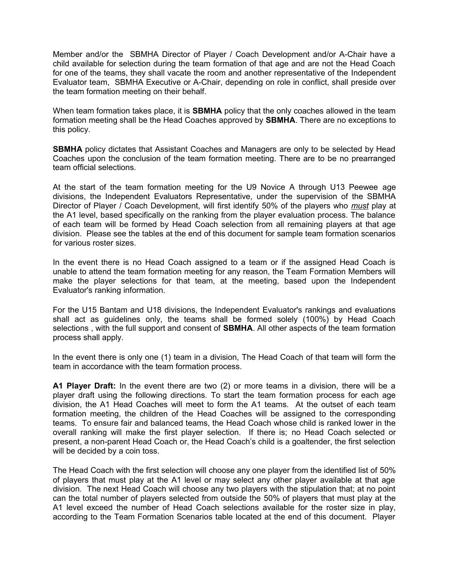Member and/or the SBMHA Director of Player / Coach Development and/or A-Chair have a child available for selection during the team formation of that age and are not the Head Coach for one of the teams, they shall vacate the room and another representative of the Independent Evaluator team, SBMHA Executive or A-Chair, depending on role in conflict, shall preside over the team formation meeting on their behalf.

When team formation takes place, it is **SBMHA** policy that the only coaches allowed in the team formation meeting shall be the Head Coaches approved by **SBMHA**. There are no exceptions to this policy.

**SBMHA** policy dictates that Assistant Coaches and Managers are only to be selected by Head Coaches upon the conclusion of the team formation meeting. There are to be no prearranged team official selections.

At the start of the team formation meeting for the U9 Novice A through U13 Peewee age divisions, the Independent Evaluators Representative, under the supervision of the SBMHA Director of Player / Coach Development, will first identify 50% of the players who *must* play at the A1 level, based specifically on the ranking from the player evaluation process. The balance of each team will be formed by Head Coach selection from all remaining players at that age division. Please see the tables at the end of this document for sample team formation scenarios for various roster sizes.

In the event there is no Head Coach assigned to a team or if the assigned Head Coach is unable to attend the team formation meeting for any reason, the Team Formation Members will make the player selections for that team, at the meeting, based upon the Independent Evaluator's ranking information.

For the U15 Bantam and U18 divisions, the Independent Evaluator's rankings and evaluations shall act as guidelines only, the teams shall be formed solely (100%) by Head Coach selections , with the full support and consent of **SBMHA**. All other aspects of the team formation process shall apply.

In the event there is only one (1) team in a division, The Head Coach of that team will form the team in accordance with the team formation process.

**A1 Player Draft:** In the event there are two (2) or more teams in a division, there will be a player draft using the following directions. To start the team formation process for each age division, the A1 Head Coaches will meet to form the A1 teams. At the outset of each team formation meeting, the children of the Head Coaches will be assigned to the corresponding teams. To ensure fair and balanced teams, the Head Coach whose child is ranked lower in the overall ranking will make the first player selection. If there is; no Head Coach selected or present, a non-parent Head Coach or, the Head Coach's child is a goaltender, the first selection will be decided by a coin toss.

The Head Coach with the first selection will choose any one player from the identified list of 50% of players that must play at the A1 level or may select any other player available at that age division. The next Head Coach will choose any two players with the stipulation that; at no point can the total number of players selected from outside the 50% of players that must play at the A1 level exceed the number of Head Coach selections available for the roster size in play, according to the Team Formation Scenarios table located at the end of this document. Player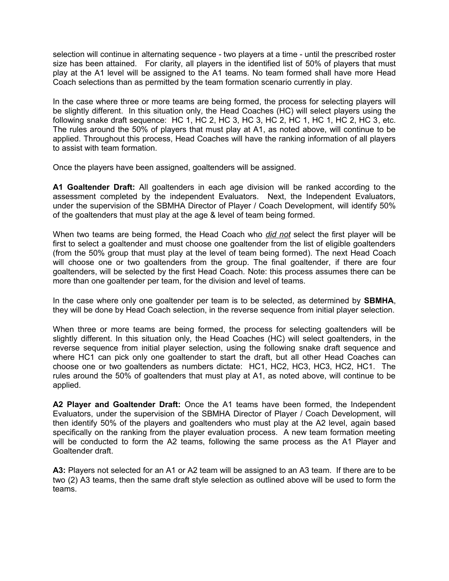selection will continue in alternating sequence - two players at a time - until the prescribed roster size has been attained. For clarity, all players in the identified list of 50% of players that must play at the A1 level will be assigned to the A1 teams. No team formed shall have more Head Coach selections than as permitted by the team formation scenario currently in play.

In the case where three or more teams are being formed, the process for selecting players will be slightly different. In this situation only, the Head Coaches (HC) will select players using the following snake draft sequence: HC 1, HC 2, HC 3, HC 3, HC 2, HC 1, HC 1, HC 2, HC 3, etc. The rules around the 50% of players that must play at A1, as noted above, will continue to be applied. Throughout this process, Head Coaches will have the ranking information of all players to assist with team formation.

Once the players have been assigned, goaltenders will be assigned.

**A1 Goaltender Draft:** All goaltenders in each age division will be ranked according to the assessment completed by the independent Evaluators. Next, the Independent Evaluators, under the supervision of the SBMHA Director of Player / Coach Development, will identify 50% of the goaltenders that must play at the age & level of team being formed.

When two teams are being formed, the Head Coach who *did not* select the first player will be first to select a goaltender and must choose one goaltender from the list of eligible goaltenders (from the 50% group that must play at the level of team being formed). The next Head Coach will choose one or two goaltenders from the group. The final goaltender, if there are four goaltenders, will be selected by the first Head Coach. Note: this process assumes there can be more than one goaltender per team, for the division and level of teams.

In the case where only one goaltender per team is to be selected, as determined by **SBMHA**, they will be done by Head Coach selection, in the reverse sequence from initial player selection.

When three or more teams are being formed, the process for selecting goaltenders will be slightly different. In this situation only, the Head Coaches (HC) will select goaltenders, in the reverse sequence from initial player selection, using the following snake draft sequence and where HC1 can pick only one goaltender to start the draft, but all other Head Coaches can choose one or two goaltenders as numbers dictate: HC1, HC2, HC3, HC3, HC2, HC1. The rules around the 50% of goaltenders that must play at A1, as noted above, will continue to be applied.

**A2 Player and Goaltender Draft:** Once the A1 teams have been formed, the Independent Evaluators, under the supervision of the SBMHA Director of Player / Coach Development, will then identify 50% of the players and goaltenders who must play at the A2 level, again based specifically on the ranking from the player evaluation process. A new team formation meeting will be conducted to form the A2 teams, following the same process as the A1 Player and Goaltender draft.

**A3:** Players not selected for an A1 or A2 team will be assigned to an A3 team. If there are to be two (2) A3 teams, then the same draft style selection as outlined above will be used to form the teams.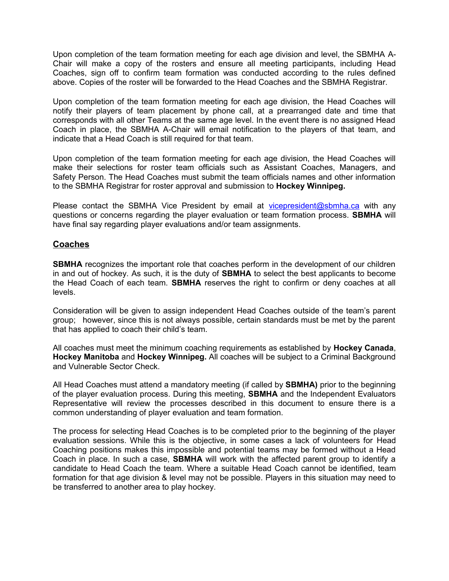Upon completion of the team formation meeting for each age division and level, the SBMHA A-Chair will make a copy of the rosters and ensure all meeting participants, including Head Coaches, sign off to confirm team formation was conducted according to the rules defined above. Copies of the roster will be forwarded to the Head Coaches and the SBMHA Registrar.

Upon completion of the team formation meeting for each age division, the Head Coaches will notify their players of team placement by phone call, at a prearranged date and time that corresponds with all other Teams at the same age level. In the event there is no assigned Head Coach in place, the SBMHA A-Chair will email notification to the players of that team, and indicate that a Head Coach is still required for that team.

Upon completion of the team formation meeting for each age division, the Head Coaches will make their selections for roster team officials such as Assistant Coaches, Managers, and Safety Person. The Head Coaches must submit the team officials names and other information to the SBMHA Registrar for roster approval and submission to **Hockey Winnipeg.**

Please contact the SBMHA Vice President by email at [vicepresident@sbmha.ca](mailto:vicepresident@sbmha.ca) with any questions or concerns regarding the player evaluation or team formation process. **SBMHA** will have final say regarding player evaluations and/or team assignments.

#### **Coaches**

**SBMHA** recognizes the important role that coaches perform in the development of our children in and out of hockey. As such, it is the duty of **SBMHA** to select the best applicants to become the Head Coach of each team. **SBMHA** reserves the right to confirm or deny coaches at all levels.

Consideration will be given to assign independent Head Coaches outside of the team's parent group; however, since this is not always possible, certain standards must be met by the parent that has applied to coach their child's team.

All coaches must meet the minimum coaching requirements as established by **Hockey Canada**, **Hockey Manitoba** and **Hockey Winnipeg.** All coaches will be subject to a Criminal Background and Vulnerable Sector Check.

All Head Coaches must attend a mandatory meeting (if called by **SBMHA)** prior to the beginning of the player evaluation process. During this meeting, **SBMHA** and the Independent Evaluators Representative will review the processes described in this document to ensure there is a common understanding of player evaluation and team formation.

The process for selecting Head Coaches is to be completed prior to the beginning of the player evaluation sessions. While this is the objective, in some cases a lack of volunteers for Head Coaching positions makes this impossible and potential teams may be formed without a Head Coach in place. In such a case, **SBMHA** will work with the affected parent group to identify a candidate to Head Coach the team. Where a suitable Head Coach cannot be identified, team formation for that age division & level may not be possible. Players in this situation may need to be transferred to another area to play hockey.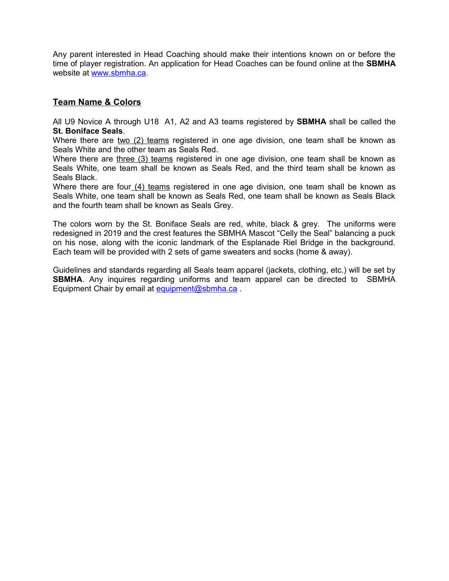Any parent interested in Head Coaching should make their intentions known on or before the time of player registration. An application for Head Coaches can be found online at the **SBMHA** website at [www.sbmha.ca.](http://www.sbmha.ca/)

#### **Team Name & Colors**

All U9 Novice A through U18 A1, A2 and A3 teams registered by **SBMHA** shall be called the **St. Boniface Seals**.

Where there are two (2) teams registered in one age division, one team shall be known as Seals White and the other team as Seals Red.

Where there are three (3) teams registered in one age division, one team shall be known as Seals White, one team shall be known as Seals Red, and the third team shall be known as Seals Black.

Where there are four  $(4)$  teams registered in one age division, one team shall be known as Seals White, one team shall be known as Seals Red, one team shall be known as Seals Black and the fourth team shall be known as Seals Grey.

The colors worn by the St. Boniface Seals are red, white, black & grey. The uniforms were redesigned in 2019 and the crest features the SBMHA Mascot "Celly the Seal" balancing a puck on his nose, along with the iconic landmark of the Esplanade Riel Bridge in the background. Each team will be provided with 2 sets of game sweaters and socks (home & away).

Guidelines and standards regarding all Seals team apparel (jackets, clothing, etc.) will be set by **SBMHA**. Any inquires regarding uniforms and team apparel can be directed to SBMHA Equipment Chair by email at equipment@sbmha.ca.